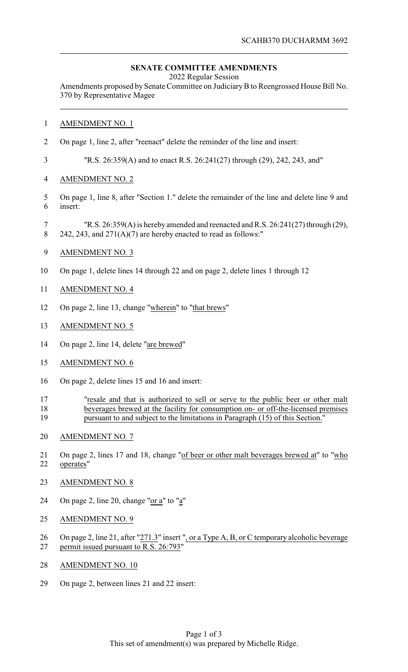## **SENATE COMMITTEE AMENDMENTS**

2022 Regular Session

Amendments proposed by Senate Committee on JudiciaryB to Reengrossed House Bill No. 370 by Representative Magee

## AMENDMENT NO. 1

On page 1, line 2, after "reenact" delete the reminder of the line and insert:

"R.S. 26:359(A) and to enact R.S. 26:241(27) through (29), 242, 243, and"

- AMENDMENT NO. 2
- On page 1, line 8, after "Section 1." delete the remainder of the line and delete line 9 and insert:
- "R.S. 26:359(A) is hereby amended and reenacted and R.S. 26:241(27) through (29), 8 242, 243, and  $271(A)(7)$  are hereby enacted to read as follows:"
- AMENDMENT NO. 3
- On page 1, delete lines 14 through 22 and on page 2, delete lines 1 through 12
- AMENDMENT NO. 4
- On page 2, line 13, change "wherein" to "that brews"
- AMENDMENT NO. 5
- On page 2, line 14, delete "are brewed"
- AMENDMENT NO. 6
- On page 2, delete lines 15 and 16 and insert:
- "resale and that is authorized to sell or serve to the public beer or other malt beverages brewed at the facility for consumption on- or off-the-licensed premises pursuant to and subject to the limitations in Paragraph (15) of this Section."
- AMENDMENT NO. 7
- 21 On page 2, lines 17 and 18, change "of beer or other malt beverages brewed at" to "who operates"
- AMENDMENT NO. 8
- On page 2, line 20, change "or a" to "a"
- AMENDMENT NO. 9
- 26 On page 2, line 21, after "271.3" insert ", or a Type A, B, or C temporary alcoholic beverage permit issued pursuant to R.S. 26:793"
- AMENDMENT NO. 10
- On page 2, between lines 21 and 22 insert: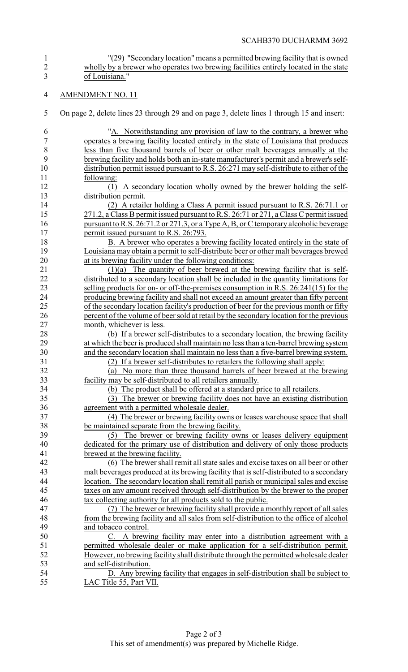- <sup>"</sup>(29) "Secondary location" means a permitted brewing facility that is owned<br>2 wholly by a brewer who operates two brewing facilities entirely located in the state wholly by a brewer who operates two brewing facilities entirely located in the state of Louisiana."
- AMENDMENT NO. 11
- On page 2, delete lines 23 through 29 and on page 3, delete lines 1 through 15 and insert:

| 6                | "A. Notwithstanding any provision of law to the contrary, a brewer who                                                                                                        |
|------------------|-------------------------------------------------------------------------------------------------------------------------------------------------------------------------------|
| $\boldsymbol{7}$ | operates a brewing facility located entirely in the state of Louisiana that produces                                                                                          |
| 8                | less than five thousand barrels of beer or other malt beverages annually at the                                                                                               |
| 9                | brewing facility and holds both an in-state manufacturer's permit and a brewer's self-                                                                                        |
| 10               | distribution permit issued pursuant to R.S. 26:271 may self-distribute to either of the                                                                                       |
| 11               | following:                                                                                                                                                                    |
| 12               | A secondary location wholly owned by the brewer holding the self-                                                                                                             |
| 13               | distribution permit.                                                                                                                                                          |
| 14               | (2) A retailer holding a Class A permit issued pursuant to R.S. 26:71.1 or                                                                                                    |
| 15               | 271.2, a Class B permit issued pursuant to R.S. 26:71 or 271, a Class C permit issued                                                                                         |
| 16               | pursuant to R.S. 26:71.2 or 271.3, or a Type A, B, or C temporary alcoholic beverage                                                                                          |
| 17               | permit issued pursuant to R.S. 26:793.                                                                                                                                        |
| 18               | B. A brewer who operates a brewing facility located entirely in the state of                                                                                                  |
| 19               | Louisiana may obtain a permit to self-distribute beer or other malt beverages brewed                                                                                          |
| 20               | at its brewing facility under the following conditions:                                                                                                                       |
| 21               | $(1)(a)$ The quantity of beer brewed at the brewing facility that is self-                                                                                                    |
| 22               | distributed to a secondary location shall be included in the quantity limitations for                                                                                         |
| 23               | selling products for on- or off-the-premises consumption in R.S. 26:241(15) for the                                                                                           |
| 24               | producing brewing facility and shall not exceed an amount greater than fifty percent                                                                                          |
| 25               | of the secondary location facility's production of beer for the previous month or fifty                                                                                       |
| 26               | percent of the volume of beer sold at retail by the secondary location for the previous                                                                                       |
| 27               | month, whichever is less.                                                                                                                                                     |
| 28               |                                                                                                                                                                               |
| 29               | (b) If a brewer self-distributes to a secondary location, the brewing facility                                                                                                |
| 30               | at which the beer is produced shall maintain no less than a ten-barrel brewing system<br>and the secondary location shall maintain no less than a five-barrel brewing system. |
| 31               | (2) If a brewer self-distributes to retailers the following shall apply:                                                                                                      |
| 32               | No more than three thousand barrels of beer brewed at the brewing<br>(a)                                                                                                      |
| 33               | facility may be self-distributed to all retailers annually.                                                                                                                   |
| 34               | (b) The product shall be offered at a standard price to all retailers.                                                                                                        |
| 35               | The brewer or brewing facility does not have an existing distribution<br>(3)                                                                                                  |
| 36               | agreement with a permitted wholesale dealer.                                                                                                                                  |
| 37               | (4) The brewer or brewing facility owns or leases warehouse space that shall                                                                                                  |
| 38               | be maintained separate from the brewing facility.                                                                                                                             |
| 39               | The brewer or brewing facility owns or leases delivery equipment<br>(5)                                                                                                       |
| 40               | dedicated for the primary use of distribution and delivery of only those products                                                                                             |
| 41               | brewed at the brewing facility.                                                                                                                                               |
| 42               | (6) The brewer shall remit all state sales and excise taxes on all beer or other                                                                                              |
| 43               | malt beverages produced at its brewing facility that is self-distributed to a secondary                                                                                       |
| 44               | location. The secondary location shall remit all parish or municipal sales and excise                                                                                         |
| 45               | taxes on any amount received through self-distribution by the brewer to the proper                                                                                            |
| 46               | tax collecting authority for all products sold to the public.                                                                                                                 |
| 47               | (7) The brewer or brewing facility shall provide a monthly report of all sales                                                                                                |
| 48               | from the brewing facility and all sales from self-distribution to the office of alcohol                                                                                       |
| 49               | and tobacco control.                                                                                                                                                          |
| 50               | C. A brewing facility may enter into a distribution agreement with a                                                                                                          |
| 51               |                                                                                                                                                                               |
| 52               | permitted wholesale dealer or make application for a self-distribution permit.<br>However, no brewing facility shall distribute through the permitted wholesale dealer        |
| 53               | and self-distribution.                                                                                                                                                        |
| 54               | D. Any brewing facility that engages in self-distribution shall be subject to                                                                                                 |
| 55               | LAC Title 55, Part VII.                                                                                                                                                       |
|                  |                                                                                                                                                                               |